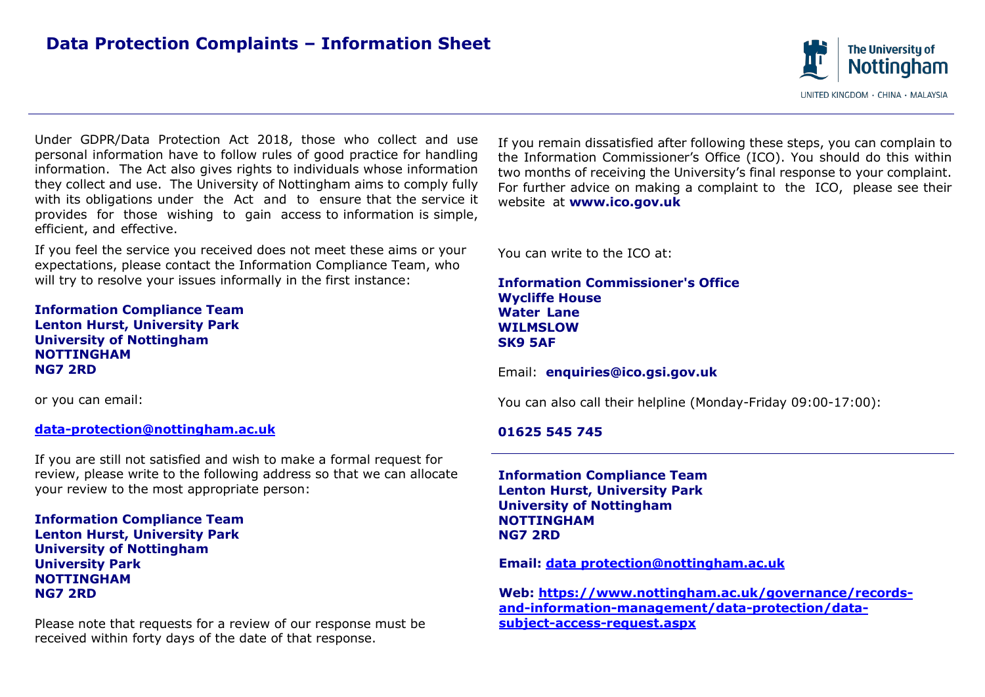

Under GDPR/Data Protection Act 2018, those who collect and use personal information have to follow rules of good practice for handling information. The Act also gives rights to individuals whose information they collect and use. The University of Nottingham aims to comply fully with its obligations under the Act and to ensure that the service it provides for those wishing to gain access to information is simple, efficient, and effective.

If you feel the service you received does not meet these aims or your expectations, please contact the Information Compliance Team, who will try to resolve your issues informally in the first instance:

**Information Compliance Team Lenton Hurst, University Park University of Nottingham NOTTINGHAM NG7 2RD**

#### **[data-protection@nottingham.ac.uk](mailto:data-protection@nottingham.ac.uk) 01625 545 745**

If you are still not satisfied and wish to make a formal request for review, please write to the following address so that we can allocate your review to the most appropriate person:

**Information Compliance Team Lenton Hurst, University Park University of Nottingham University Park NOTTINGHAM NG7 2RD**

Please note that requests for a review of our response must be received within forty days of the date of that response.

If you remain dissatisfied after following these steps, you can complain to the Information Commissioner's Office (ICO). You should do this within two months of receiving the University's final response to your complaint. For further advice on making a complaint to the ICO, please see their website at **[www.ico.gov.uk](http://www.ico.gov.uk/)**

You can write to the ICO at:

**Information Commissioner's Office Wycliffe House Water Lane WILMSLOW SK9 5AF**

#### Email: **[enquiries@ico.gsi.gov.uk](mailto:enquiries@ico.gsi.gov.uk)**

or you can email: You can also call their helpline (Monday-Friday 09:00-17:00):

**Information Compliance Team Lenton Hurst, University Park University of Nottingham NOTTINGHAM NG7 2RD**

**Email: [data protection@nottingham.ac.uk](mailto:data%20protection@nottingham.ac.uk)**

**Web: [https://www.nottingham.ac.uk/governance/records](https://www.nottingham.ac.uk/governance/records-and-information-management/data-protection/data-subject-access-request.aspx)[and-information-management/data-protection/data](https://www.nottingham.ac.uk/governance/records-and-information-management/data-protection/data-subject-access-request.aspx)[subject-access-request.aspx](https://www.nottingham.ac.uk/governance/records-and-information-management/data-protection/data-subject-access-request.aspx)**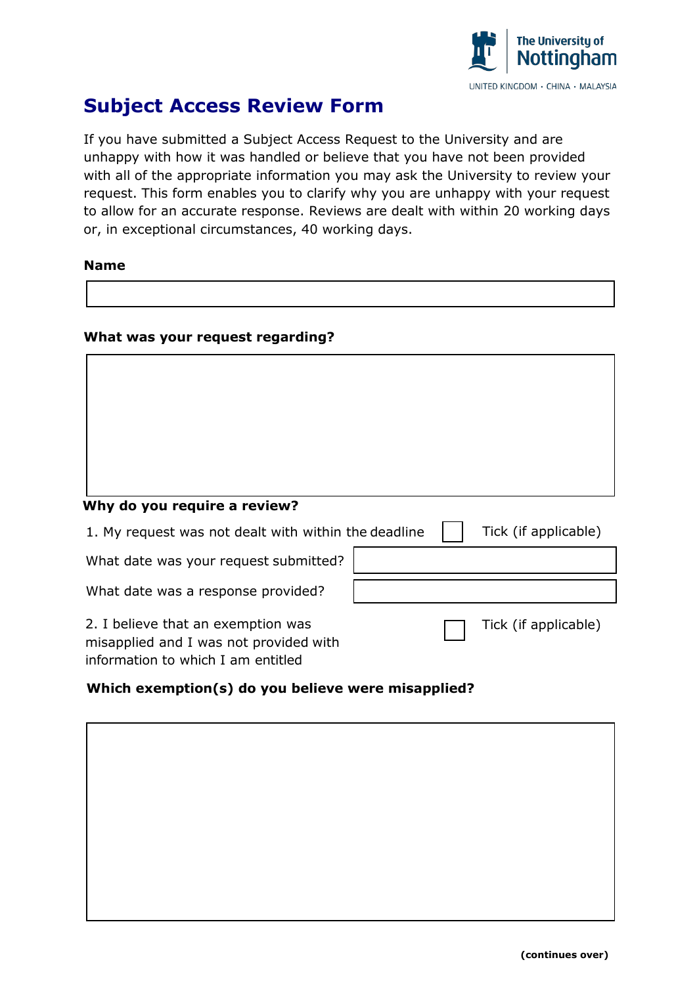

# **Subject Access Review Form**

If you have submitted a Subject Access Request to the University and are unhappy with how it was handled or believe that you have not been provided with all of the appropriate information you may ask the University to review your request. This form enables you to clarify why you are unhappy with your request to allow for an accurate response. Reviews are dealt with within 20 working days or, in exceptional circumstances, 40 working days.

### **Name**

## **What was your request regarding?**

# **Why do you require a review?**

1. My request was not dealt with within the deadline What date was your request submitted? What date was a response provided? 2. I believe that an exemption was misapplied and I was not provided with Tick (if applicable) Tick (if applicable)

information to which I am entitled

# **Which exemption(s) do you believe were misapplied?**